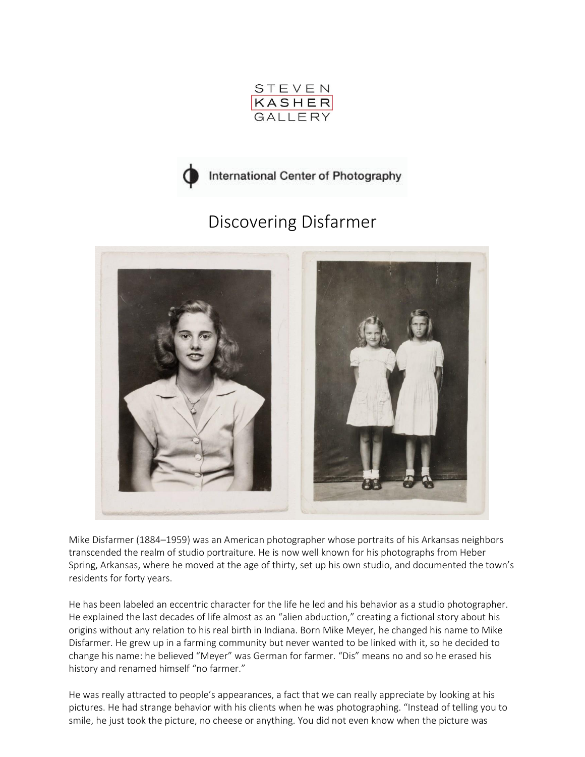

International Center of Photography

## Discovering Disfarmer



Mike Disfarmer (1884–1959) was an American photographer whose portraits of his Arkansas neighbors transcended the realm of studio portraiture. He is now well known for his photographs from Heber Spring, Arkansas, where he moved at the age of thirty, set up his own studio, and documented the town's residents for forty years.

He has been labeled an eccentric character for the life he led and his behavior as a studio photographer. He explained the last decades of life almost as an "alien abduction," creating a fictional story about his origins without any relation to his real birth in Indiana. Born Mike Meyer, he changed his name to Mike Disfarmer. He grew up in a farming community but never wanted to be linked with it, so he decided to change his name: he believed "Meyer" was German for farmer. "Dis" means no and so he erased his history and renamed himself "no farmer."

He was really attracted to people's appearances, a fact that we can really appreciate by looking at his pictures. He had strange behavior with his clients when he was photographing. "Instead of telling you to smile, he just took the picture, no cheese or anything. You did not even know when the picture was